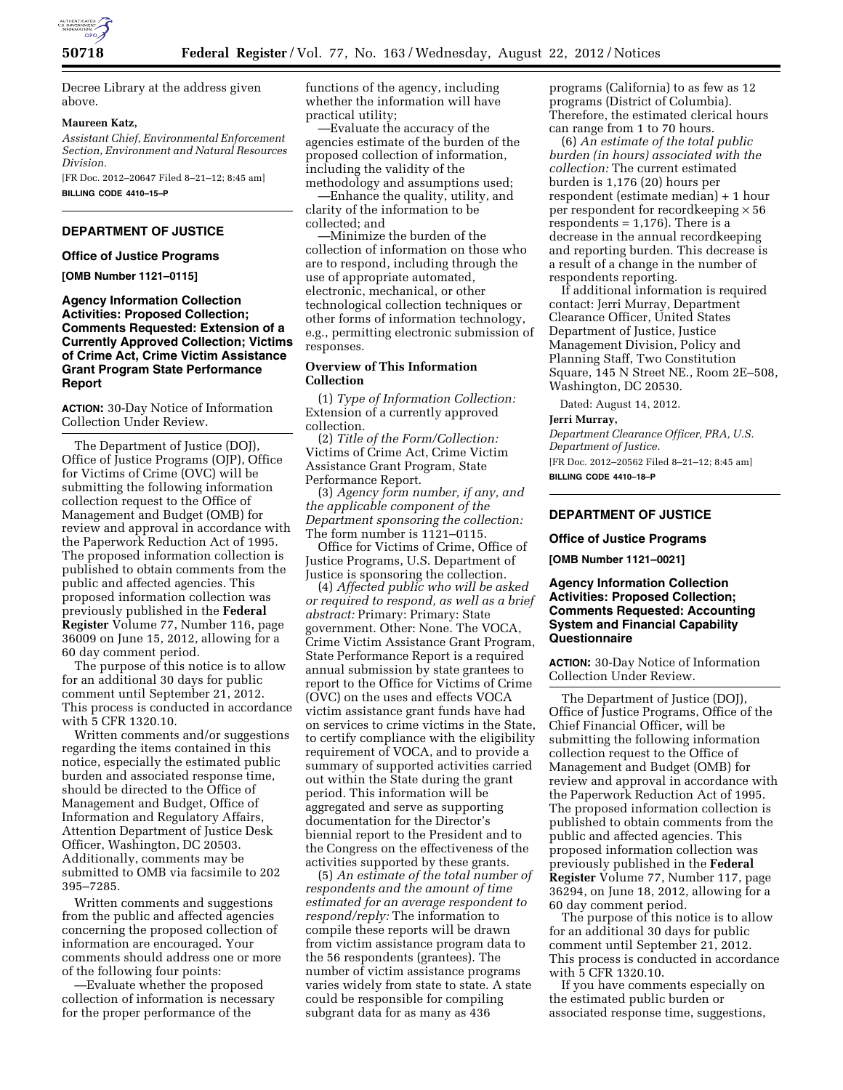

Decree Library at the address given above.

### **Maureen Katz,**

*Assistant Chief, Environmental Enforcement Section, Environment and Natural Resources Division.* 

[FR Doc. 2012–20647 Filed 8–21–12; 8:45 am] **BILLING CODE 4410–15–P** 

# **DEPARTMENT OF JUSTICE**

## **Office of Justice Programs**

**[OMB Number 1121–0115]** 

# **Agency Information Collection Activities: Proposed Collection; Comments Requested: Extension of a Currently Approved Collection; Victims of Crime Act, Crime Victim Assistance Grant Program State Performance Report**

**ACTION:** 30-Day Notice of Information Collection Under Review.

The Department of Justice (DOJ), Office of Justice Programs (OJP), Office for Victims of Crime (OVC) will be submitting the following information collection request to the Office of Management and Budget (OMB) for review and approval in accordance with the Paperwork Reduction Act of 1995. The proposed information collection is published to obtain comments from the public and affected agencies. This proposed information collection was previously published in the **Federal Register** Volume 77, Number 116, page 36009 on June 15, 2012, allowing for a 60 day comment period.

The purpose of this notice is to allow for an additional 30 days for public comment until September 21, 2012. This process is conducted in accordance with 5 CFR 1320.10.

Written comments and/or suggestions regarding the items contained in this notice, especially the estimated public burden and associated response time, should be directed to the Office of Management and Budget, Office of Information and Regulatory Affairs, Attention Department of Justice Desk Officer, Washington, DC 20503. Additionally, comments may be submitted to OMB via facsimile to 202 395–7285.

Written comments and suggestions from the public and affected agencies concerning the proposed collection of information are encouraged. Your comments should address one or more of the following four points:

—Evaluate whether the proposed collection of information is necessary for the proper performance of the

functions of the agency, including whether the information will have practical utility;

—Evaluate the accuracy of the agencies estimate of the burden of the proposed collection of information, including the validity of the methodology and assumptions used;

—Enhance the quality, utility, and clarity of the information to be collected; and

—Minimize the burden of the collection of information on those who are to respond, including through the use of appropriate automated, electronic, mechanical, or other technological collection techniques or other forms of information technology, e.g., permitting electronic submission of responses.

## **Overview of This Information Collection**

(1) *Type of Information Collection:*  Extension of a currently approved collection.

(2) *Title of the Form/Collection:*  Victims of Crime Act, Crime Victim Assistance Grant Program, State Performance Report.

(3) *Agency form number, if any, and the applicable component of the Department sponsoring the collection:*  The form number is 1121–0115.

Office for Victims of Crime, Office of Justice Programs, U.S. Department of Justice is sponsoring the collection.

(4) *Affected public who will be asked or required to respond, as well as a brief abstract:* Primary: Primary: State government. Other: None. The VOCA, Crime Victim Assistance Grant Program, State Performance Report is a required annual submission by state grantees to report to the Office for Victims of Crime (OVC) on the uses and effects VOCA victim assistance grant funds have had on services to crime victims in the State, to certify compliance with the eligibility requirement of VOCA, and to provide a summary of supported activities carried out within the State during the grant period. This information will be aggregated and serve as supporting documentation for the Director's biennial report to the President and to the Congress on the effectiveness of the activities supported by these grants.

(5) *An estimate of the total number of respondents and the amount of time estimated for an average respondent to respond/reply:* The information to compile these reports will be drawn from victim assistance program data to the 56 respondents (grantees). The number of victim assistance programs varies widely from state to state. A state could be responsible for compiling subgrant data for as many as 436

programs (California) to as few as 12 programs (District of Columbia). Therefore, the estimated clerical hours can range from 1 to 70 hours.

(6) *An estimate of the total public burden (in hours) associated with the collection:* The current estimated burden is 1,176 (20) hours per respondent (estimate median) + 1 hour per respondent for record keeping  $\times$  56 respondents = 1,176). There is a decrease in the annual recordkeeping and reporting burden. This decrease is a result of a change in the number of respondents reporting.

If additional information is required contact: Jerri Murray, Department Clearance Officer, United States Department of Justice, Justice Management Division, Policy and Planning Staff, Two Constitution Square, 145 N Street NE., Room 2E–508, Washington, DC 20530.

Dated: August 14, 2012.

#### **Jerri Murray,**

*Department Clearance Officer, PRA, U.S. Department of Justice.* 

[FR Doc. 2012–20562 Filed 8–21–12; 8:45 am] **BILLING CODE 4410–18–P** 

# **DEPARTMENT OF JUSTICE**

#### **Office of Justice Programs**

**[OMB Number 1121–0021]** 

# **Agency Information Collection Activities: Proposed Collection; Comments Requested: Accounting System and Financial Capability Questionnaire**

**ACTION:** 30-Day Notice of Information Collection Under Review.

The Department of Justice (DOJ), Office of Justice Programs, Office of the Chief Financial Officer, will be submitting the following information collection request to the Office of Management and Budget (OMB) for review and approval in accordance with the Paperwork Reduction Act of 1995. The proposed information collection is published to obtain comments from the public and affected agencies. This proposed information collection was previously published in the **Federal Register** Volume 77, Number 117, page 36294, on June 18, 2012, allowing for a 60 day comment period.

The purpose of this notice is to allow for an additional 30 days for public comment until September 21, 2012. This process is conducted in accordance with 5 CFR 1320.10.

If you have comments especially on the estimated public burden or associated response time, suggestions,